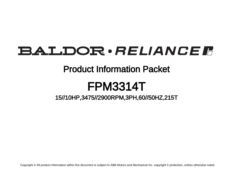# **BALDOR** · RELIANCE F

# Product Information Packet

# FPM3314T

15//10HP,3475//2900RPM,3PH,60//50HZ,215T

Copyright © All product information within this document is subject to ABB Motors and Mechanical Inc. copyright © protection, unless otherwise noted.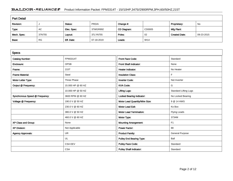# BALDOR · RELIANCE Froduct Information Packet: FPM3314T - 15//10HP,3475//2900RPM,3PH,60//50HZ,215T

| <b>Part Detail</b> |           |             |            |             |        |                      |            |  |
|--------------------|-----------|-------------|------------|-------------|--------|----------------------|------------|--|
| Revision:          |           | Status:     | PRD/A      | Change #:   |        | Proprietary:         | No         |  |
| Type:              | AC        | Elec. Spec: | 37WGR892   | CD Diagram: | CD0005 | Mfg Plant:           |            |  |
| Mech. Spec:        | 37N755    | Layout:     | 37LYN755   | Poles:      | 02     | <b>Created Date:</b> | 09-23-2015 |  |
| Base:              | <b>RG</b> | Eff. Date:  | 07-18-2019 | Leads:      | 9#14   |                      |            |  |

| <b>Specs</b>                   |                   |                                  |                              |
|--------------------------------|-------------------|----------------------------------|------------------------------|
| <b>Catalog Number:</b>         | <b>FPM3314T</b>   | Front Face Code:                 | Standard                     |
| Enclosure:                     | <b>OPSB</b>       | Front Shaft Indicator:           | None                         |
| Frame:                         | 215T              | <b>Heater Indicator:</b>         | No Heater                    |
| <b>Frame Material:</b>         | Steel             | <b>Insulation Class:</b>         | F                            |
| Motor Letter Type:             | Three Phase       | <b>Inverter Code:</b>            | Not Inverter                 |
| Output @ Frequency:            | 15,000 HP @ 60 HZ | <b>KVA Code:</b>                 | G                            |
|                                | 10.000 HP @ 50 HZ | <b>Lifting Lugs:</b>             | <b>Standard Lifting Lugs</b> |
| Synchronous Speed @ Frequency: | 3600 RPM @ 60 HZ  | <b>Locked Bearing Indicator:</b> | No Locked Bearing            |
| Voltage @ Frequency:           | 190.0 V @ 50 HZ   | Motor Lead Quantity/Wire Size:   | 9 @ 14 AWG                   |
|                                | 230.0 V @ 60 HZ   | <b>Motor Lead Exit:</b>          | Ko Box                       |
|                                | 380.0 V @ 50 HZ   | <b>Motor Lead Termination:</b>   | <b>Flying Leads</b>          |
|                                | 460.0 V @ 60 HZ   | Motor Type:                      | 3734M                        |
| XP Class and Group:            | None              | <b>Mounting Arrangement:</b>     | F1                           |
| <b>XP Division:</b>            | Not Applicable    | Power Factor:                    | 88                           |
| <b>Agency Approvals:</b>       | <b>UR</b>         | <b>Product Family:</b>           | <b>General Purpose</b>       |
|                                | UL                | <b>Pulley End Bearing Type:</b>  | Ball                         |
|                                | <b>CSA EEV</b>    | <b>Pulley Face Code:</b>         | Standard                     |
|                                | <b>CSA</b>        | <b>Pulley Shaft Indicator:</b>   | Standard                     |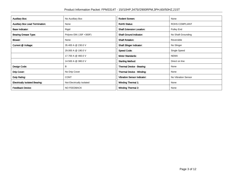| <b>Auxillary Box:</b>                  | No Auxillary Box          | <b>Rodent Screen:</b>              | None                  |
|----------------------------------------|---------------------------|------------------------------------|-----------------------|
| <b>Auxillary Box Lead Termination:</b> | None                      | <b>RoHS Status:</b>                | <b>ROHS COMPLIANT</b> |
| <b>Base Indicator:</b>                 | Rigid                     | <b>Shaft Extension Location:</b>   | Pulley End            |
| <b>Bearing Grease Type:</b>            | Polyrex EM (-20F +300F)   | <b>Shaft Ground Indicator:</b>     | No Shaft Grounding    |
| Blower:                                | None                      | <b>Shaft Rotation:</b>             | Reversible            |
| Current @ Voltage:                     | 35.400 A @ 230.0 V        | <b>Shaft Slinger Indicator:</b>    | No Slinger            |
|                                        | 29.000 A @ 190.0 V        | <b>Speed Code:</b>                 | Single Speed          |
|                                        | 17.700 A @ 460.0 V        | <b>Motor Standards:</b>            | <b>NEMA</b>           |
|                                        | 14.500 A @ 380.0 V        | <b>Starting Method:</b>            | Direct on line        |
| Design Code:                           | В                         | Thermal Device - Bearing:          | None                  |
| Drip Cover:                            | No Drip Cover             | <b>Thermal Device - Winding:</b>   | None                  |
| Duty Rating:                           | <b>CONT</b>               | <b>Vibration Sensor Indicator:</b> | No Vibration Sensor   |
| <b>Electrically Isolated Bearing:</b>  | Not Electrically Isolated | <b>Winding Thermal 1:</b>          | None                  |
| <b>Feedback Device:</b>                | NO FEEDBACK               | <b>Winding Thermal 2:</b>          | None                  |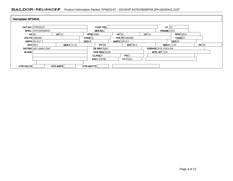## BALDOR · RELIANCE Froduct Information Packet: FPM3314T - 15//10HP,3475//2900RPM,3PH,60//50HZ,215T

|              | CAT.NO. FPM3314T           |             |                    | <b>CUST P/N</b>     |                      |            |       | I.P. 23                  |                    |         |  |
|--------------|----------------------------|-------------|--------------------|---------------------|----------------------|------------|-------|--------------------------|--------------------|---------|--|
|              | <b>SPEC.</b> 37N755R892H2  |             |                    | SER.NO.             |                      |            |       | <b>FRAME</b> 215T        |                    |         |  |
| HZ 60        |                            | HP 15       |                    | <b>RPM</b> 3480     | $HZ$ 50              |            | HP 10 |                          | <b>RPM</b> 2910    |         |  |
|              | <b>VOLTS 230/460</b>       |             | CODE G             |                     | <b>VOLTS</b> 190/380 |            |       |                          | CODE <sup>IH</sup> |         |  |
|              | AMPS 35.4/17.7             |             | $DES$ <sub>B</sub> |                     | AMPS 29/14.5         |            |       |                          | <b>DES</b> B       |         |  |
| $EFF$ 89.5   |                            | SER.F. 1.15 |                    | PF 88               |                      | EFF $90.2$ |       | SER.F. 1.15              |                    | $PF$ 87 |  |
|              | <b>RATING 40C AMB-CONT</b> |             |                    | <b>DE BRG 6307</b>  |                      |            |       | <b>GREASE POLYREX EM</b> |                    |         |  |
| <b>BLANK</b> |                            |             |                    | <b>ODE BRG 6206</b> |                      |            |       | <b>MTR. WT.</b> 131      |                    |         |  |
|              |                            |             |                    | <b>CLASS F</b>      |                      | PH 3       |       |                          |                    |         |  |
|              |                            |             |                    | <b>ENCL</b> OPSB    |                      | $CC$ 010A  |       |                          |                    |         |  |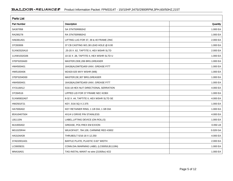| <b>Parts List</b>  |                                          |          |  |  |  |  |
|--------------------|------------------------------------------|----------|--|--|--|--|
| <b>Part Number</b> | <b>Description</b>                       | Quantity |  |  |  |  |
| SA307958           | SA 37N755R892H2                          | 1.000 EA |  |  |  |  |
| RA295278           | RA 37N755R892H2                          | 1.000 EA |  |  |  |  |
| HA6361A01          | LIFTING LUG FOR 37, 39 & 40 FRAME ZINC   | 2.000 EA |  |  |  |  |
| 37CB3006           | 37 CB CASTING W/1.38 LEAD HOLE @ 6:00    | 1.000 EA |  |  |  |  |
| 51XW2520A10        | .25-20 X .62, TAPTITE II, HEX WSHR SLTD  | 2.000 EA |  |  |  |  |
| 11XW1032G06        | 10-32 X .38, TAPTITE II, HEX WSHR SLTD U | 1.000 EA |  |  |  |  |
| 37EP3203A00        | MASTER, ODE, 206 BRG, GREASER            | 1.000 EA |  |  |  |  |
| HW4500A01          | 1641B(ALEMITE)400 UNIV, GREASE FITT      | 1.000 EA |  |  |  |  |
| HW5100A06          | W2420-025 WVY WSHR (WB)                  | 1.000 EA |  |  |  |  |
| 37EP3204D00        | MASTER, DE, 307 BRG, GREASER             | 1.000 EA |  |  |  |  |
| HW4500A01          | 1641B(ALEMITE)400 UNIV, GREASE FITT      | 1.000 EA |  |  |  |  |
| XY3118A12          | 5/16-18 HEX NUT DIRECTIONAL SERRATION    | 4.000 EA |  |  |  |  |
| 37CB4516           | LIPPED LID FOR 37 FRAME NEC KOBX         | 1.000 EA |  |  |  |  |
| 51XW0832A07        | 8-32 X .44, TAPTITE II, HEX WSHR SLTD SE | 4.000 EA |  |  |  |  |
| HW2501F21          | KEY, 5/16 SQ X 2.375                     | 1.000 EA |  |  |  |  |
| HA7000A02          | KEY RETAINER RING, 1 1/8 DIA, 1 3/8 DIA  | 1.000 EA |  |  |  |  |
| 85XU0407S04        | 4X1/4 U DRIVE PIN STAINLESS              | 4.000 EA |  |  |  |  |
| <b>LB1115N</b>     | LABEL, LIFTING DEVICE (ON ROLLS)         | 1.000 EA |  |  |  |  |
| MJ1000A02          | GREASE, POLYREX EM EXXON                 | 0.050 LB |  |  |  |  |
| MG1025R44          | WILKOFAST, 784.109, CARMINE RED #3002    | 0.028 GA |  |  |  |  |
| HA3104A39          | THRUBOLT-5/16-18 X 12.250                | 4.000 EA |  |  |  |  |
| 37AD2001A01        | BAFFLE PLATE, PLASTIC 0.63" WIDTH        | 2.000 EA |  |  |  |  |
| LC0005E01          | CONN.DIA./WARNING LABEL (LC0005/LB1119N) | 1.000 EA |  |  |  |  |
| MN416A01           | TAG-INSTAL-MAINT no wire (2100/bx) 4/22  | 1.000 EA |  |  |  |  |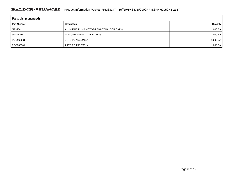| <b>Parts List (continued)</b> |                                          |          |  |  |  |  |
|-------------------------------|------------------------------------------|----------|--|--|--|--|
| <b>Part Number</b>            | Description                              | Quantity |  |  |  |  |
| NP3454L                       | ALUM FIRE PUMP MOTOR(LEGACY/BALDOR ONLY) | 1.000 EA |  |  |  |  |
| 36PA1001                      | PKG GRP, PRINT<br>PK1017A06              | 1.000 EA |  |  |  |  |
| PE-0000001                    | <b>ZRTG PE ASSEMBLY</b>                  | 1.000 EA |  |  |  |  |
| FE-0000001                    | <b>ZRTG FE ASSEMBLY</b>                  | 1.000 EA |  |  |  |  |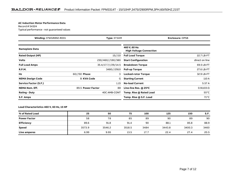#### **AC Induction Motor Performance Data**

Record # 54324Typical performance - not guaranteed values

| Winding: 37WGR892-R001       |                    | <b>Type: 3734M</b> |                                                 | <b>Enclosure: OPSB</b> |
|------------------------------|--------------------|--------------------|-------------------------------------------------|------------------------|
| <b>Nameplate Data</b>        |                    |                    | 460 V, 60 Hz:<br><b>High Voltage Connection</b> |                        |
| <b>Rated Output (HP)</b>     |                    | 15//10             | <b>Full Load Torque</b>                         | 22.7 LB-FT             |
| <b>Volts</b>                 | 230/460//190/380   |                    | <b>Start Configuration</b>                      | direct on line         |
| <b>Full Load Amps</b>        | 35.4/17.7//29/14.5 |                    | <b>Breakdown Torque</b>                         | 69.5 LB-FT             |
| <b>R.P.M.</b>                |                    | 3480//2910         | <b>Pull-up Torque</b>                           | 27.6 LB-FT             |
| <b>Hz</b>                    | 60//50 Phase       | 3                  | <b>Locked-rotor Torque</b>                      | 32.9 LB-FT             |
| <b>NEMA Design Code</b>      | <b>B KVA Code</b>  | G                  | <b>Starting Current</b>                         | 110 A                  |
| <b>Service Factor (S.F.)</b> |                    | 1.15               | <b>No-load Current</b>                          | 5.57 A                 |
| <b>NEMA Nom. Eff.</b>        | 89.5 Power Factor  | 88                 | Line-line Res. $@$ 25 <sup>o</sup> C            | $0.91103 \Omega$       |
| <b>Rating - Duty</b>         |                    | 40C AMB-CONT       | Temp. Rise @ Rated Load                         | $55^{\circ}$ C         |
| S.F. Amps                    |                    |                    | Temp. Rise @ S.F. Load                          | $71^{\circ}$ C         |

### **Load Characteristics 460 V, 60 Hz, 15 HP**

| % of Rated Load     | 25     | 50     | 75     | 100  | 125    | 150    | S.F. |
|---------------------|--------|--------|--------|------|--------|--------|------|
| <b>Power Factor</b> | 58     | 78     | 85     | 89   | 90     | 89     | 90   |
| Efficiency          | 89.6   | 91.8   | 91.4   | 90   | 88.1   | 85.8   | 88.9 |
| <b>Speed</b>        | 3573.9 | 3546.2 | 3518.5 | 3484 | 3443.8 | 3400.3 | 3460 |
| Line amperes        | 6.99   | 9.95   | 13.5   | 17.7 | 22.4   | 27.4   | 20.5 |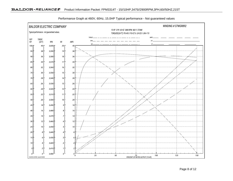

Performance Graph at 460V, 60Hz, 15.0HP Typical performance - Not guaranteed values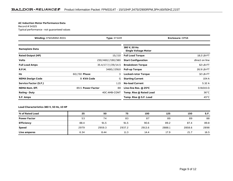#### **AC Induction Motor Performance Data**

Record # 54325Typical performance - not guaranteed values

| <b>Winding: 37WGR892-R001</b> | Type: 3734M        |              |                                              | <b>Enclosure: OPSB</b> |
|-------------------------------|--------------------|--------------|----------------------------------------------|------------------------|
| <b>Nameplate Data</b>         |                    |              | 380 V, 50 Hz:<br><b>Single Voltage Motor</b> |                        |
| <b>Rated Output (HP)</b>      |                    | 15//10       | <b>Full Load Torque</b>                      | 18.2 LB-FT             |
| <b>Volts</b>                  | 230/460//190/380   |              | <b>Start Configuration</b>                   | direct on line         |
| <b>Full Load Amps</b>         | 35.4/17.7//29/14.5 |              | <b>Breakdown Torque</b>                      | 62 LB-FT               |
| <b>R.P.M.</b>                 |                    | 3480//2910   | <b>Pull-up Torque</b>                        | 26.9 LB-FT             |
| Hz                            | 60//50 Phase       | 3            | <b>Locked-rotor Torque</b>                   | 32 LB-FT               |
| <b>NEMA Design Code</b>       | <b>B KVA Code</b>  | G            | <b>Starting Current</b>                      | 104 A                  |
| Service Factor (S.F.)         |                    | 1.15         | <b>No-load Current</b>                       | 5.32 A                 |
| <b>NEMA Nom. Eff.</b>         | 89.5 Power Factor  | 88           | Line-line Res. @ 25°C                        | $0.91015 \Omega$       |
| <b>Rating - Duty</b>          |                    | 40C AMB-CONT | Temp. Rise @ Rated Load                      | $36^{\circ}$ C         |
| S.F. Amps                     |                    |              | Temp. Rise @ S.F. Load                       | $45^{\circ}$ C         |

### **Load Characteristics 380 V, 50 Hz, 10 HP**

| % of Rated Load     | 25   | 50     | 75     | 100    | 125    | 150    | S.F. |
|---------------------|------|--------|--------|--------|--------|--------|------|
| <b>Power Factor</b> | 53   | 74     | 83     | 87     | 89     | 89     | 88   |
| <b>Efficiency</b>   | 88.4 | 91.5   | 91.5   | 90.6   | 89.2   | 87.4   | 89.8 |
| <b>Speed</b>        | 2979 | 2959.3 | 2937.2 | 2913.6 | 2888.1 | 2858.6 | 2898 |
| Line amperes        | 6.34 | 8.44   | 11.3   | 14.4   | 17.9   | 21.7   | 16.5 |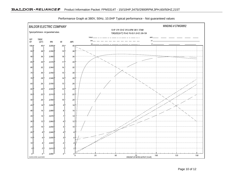

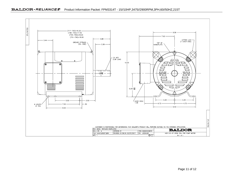